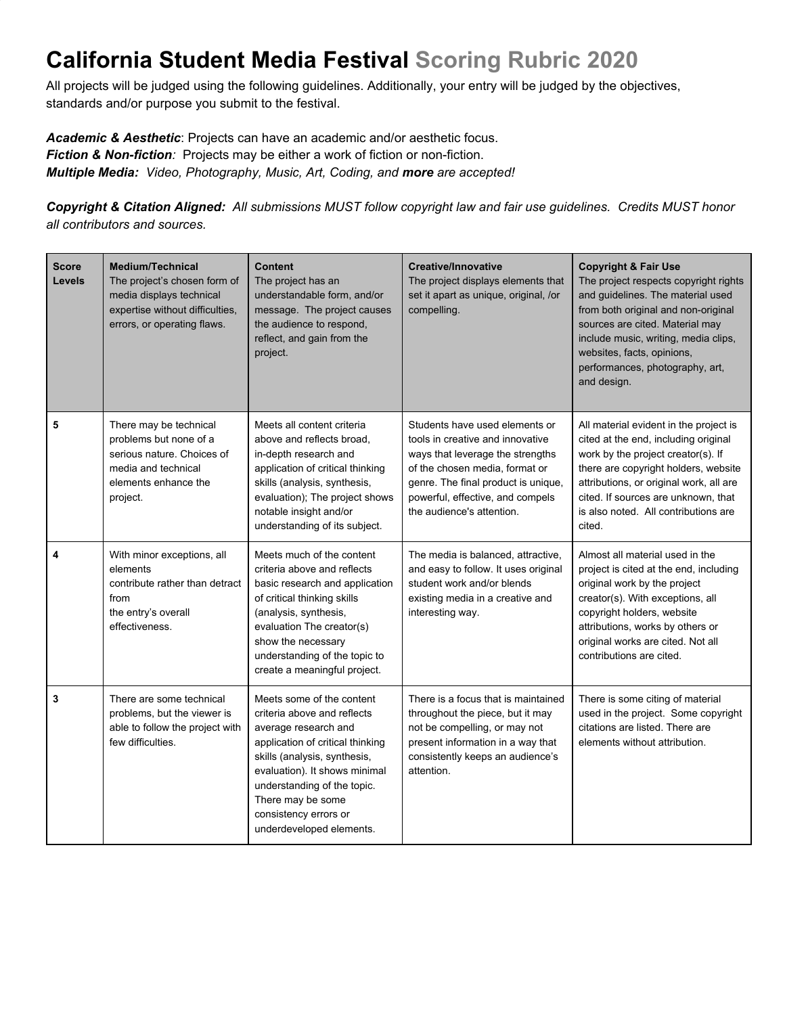## **California Student Media Festival Scoring Rubric 2020**

All projects will be judged using the following guidelines. Additionally, your entry will be judged by the objectives, standards and/or purpose you submit to the festival.

*Academic & Aesthetic*: Projects can have an academic and/or aesthetic focus. *Fiction & Non-fiction:* Projects may be either a work of fiction or non-fiction. *Multiple Media: Video, Photography, Music, Art, Coding, and more are accepted!*

Copyright & Citation Aligned: All submissions MUST follow copyright law and fair use guidelines. Credits MUST honor *all contributors and sources.*

| <b>Score</b><br>Levels | <b>Medium/Technical</b><br>The project's chosen form of<br>media displays technical<br>expertise without difficulties,<br>errors, or operating flaws. | <b>Content</b><br>The project has an<br>understandable form, and/or<br>message. The project causes<br>the audience to respond,<br>reflect, and gain from the<br>project.                                                                                                                       | <b>Creative/Innovative</b><br>The project displays elements that<br>set it apart as unique, original, /or<br>compelling.                                                                                                                         | <b>Copyright &amp; Fair Use</b><br>The project respects copyright rights<br>and guidelines. The material used<br>from both original and non-original<br>sources are cited. Material may<br>include music, writing, media clips,<br>websites, facts, opinions,<br>performances, photography, art,<br>and design. |
|------------------------|-------------------------------------------------------------------------------------------------------------------------------------------------------|------------------------------------------------------------------------------------------------------------------------------------------------------------------------------------------------------------------------------------------------------------------------------------------------|--------------------------------------------------------------------------------------------------------------------------------------------------------------------------------------------------------------------------------------------------|-----------------------------------------------------------------------------------------------------------------------------------------------------------------------------------------------------------------------------------------------------------------------------------------------------------------|
| 5                      | There may be technical<br>problems but none of a<br>serious nature. Choices of<br>media and technical<br>elements enhance the<br>project.             | Meets all content criteria<br>above and reflects broad.<br>in-depth research and<br>application of critical thinking<br>skills (analysis, synthesis,<br>evaluation); The project shows<br>notable insight and/or<br>understanding of its subject.                                              | Students have used elements or<br>tools in creative and innovative<br>ways that leverage the strengths<br>of the chosen media, format or<br>genre. The final product is unique,<br>powerful, effective, and compels<br>the audience's attention. | All material evident in the project is<br>cited at the end, including original<br>work by the project creator(s). If<br>there are copyright holders, website<br>attributions, or original work, all are<br>cited. If sources are unknown, that<br>is also noted. All contributions are<br>cited.                |
| 4                      | With minor exceptions, all<br>elements<br>contribute rather than detract<br>from<br>the entry's overall<br>effectiveness.                             | Meets much of the content<br>criteria above and reflects<br>basic research and application<br>of critical thinking skills<br>(analysis, synthesis,<br>evaluation The creator(s)<br>show the necessary<br>understanding of the topic to<br>create a meaningful project.                         | The media is balanced, attractive,<br>and easy to follow. It uses original<br>student work and/or blends<br>existing media in a creative and<br>interesting way.                                                                                 | Almost all material used in the<br>project is cited at the end, including<br>original work by the project<br>creator(s). With exceptions, all<br>copyright holders, website<br>attributions, works by others or<br>original works are cited. Not all<br>contributions are cited.                                |
| 3                      | There are some technical<br>problems, but the viewer is<br>able to follow the project with<br>few difficulties.                                       | Meets some of the content<br>criteria above and reflects<br>average research and<br>application of critical thinking<br>skills (analysis, synthesis,<br>evaluation). It shows minimal<br>understanding of the topic.<br>There may be some<br>consistency errors or<br>underdeveloped elements. | There is a focus that is maintained<br>throughout the piece, but it may<br>not be compelling, or may not<br>present information in a way that<br>consistently keeps an audience's<br>attention.                                                  | There is some citing of material<br>used in the project. Some copyright<br>citations are listed. There are<br>elements without attribution.                                                                                                                                                                     |